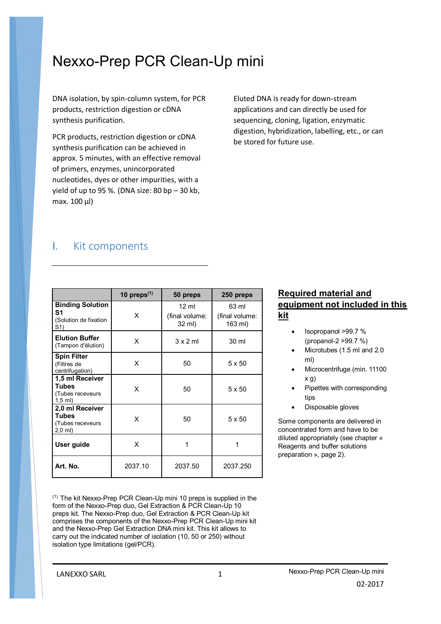# Nexxo-Prep PCR Clean-Up mini

DNA isolation, by spin-column system, for PCR products, restriction digestion or cDNA synthesis purification.

PCR products, restriction digestion or cDNA synthesis purification can be achieved in approx. 5 minutes, with an effective removal of primers, enzymes, unincorporated nucleotides, dyes or other impurities, with a yield of up to 95 %. (DNA size: 80 bp – 30 kb, max. 100 µl)

Eluted DNA is ready for down-stream applications and can directly be used for sequencing, cloning, ligation, enzymatic digestion, hybridization, labelling, etc., or can be stored for future use.

### I. Kit components

|                                                                           | 10 preps $(1)$ | 50 preps                                    | 250 preps                          |
|---------------------------------------------------------------------------|----------------|---------------------------------------------|------------------------------------|
| <b>Binding Solution</b><br>S1<br>(Solution de fixation<br>S1)             | X              | $12 \text{ ml}$<br>(final volume:<br>32 ml) | 63 ml<br>(final volume:<br>163 ml) |
| <b>Elution Buffer</b><br>(Tampon d'élution)                               | X              | $3 \times 2$ ml                             | 30 ml                              |
| <b>Spin Filter</b><br>(Filtres de<br>centrifugation)                      | X              | 50                                          | $5 \times 50$                      |
| 1,5 ml Receiver<br><b>Tubes</b><br>(Tubes receveurs<br>$1,5$ ml)          | X              | 50                                          | $5 \times 50$                      |
| 2,0 ml Receiver<br><b>Tubes</b><br>(Tubes receveurs<br>$2,0 \text{ ml}$ ) | X              | 50                                          | $5 \times 50$                      |
| User guide                                                                | X              | 1                                           | 1                                  |
| Art. No.                                                                  | 2037.10        | 2037.50                                     | 2037.250                           |

 $(1)$  The kit Nexxo-Prep PCR Clean-Up mini 10 preps is supplied in the form of the Nexxo-Prep duo, Gel Extraction & PCR Clean-Up 10 preps kit. The Nexxo-Prep duo, Gel Extraction & PCR Clean-Up kit comprises the components of the Nexxo-Prep PCR Clean-Up mini kit and the Nexxo-Prep Gel Extraction DNA mini kit. This kit allows to carry out the indicated number of isolation (10, 50 or 250) without isolation type limitations (gel/PCR).

#### **Required material and equipment not included in this kit**

- Isopropanol >99.7 % (propanol-2 >99.7 %)
- Microtubes (1.5 ml and 2.0 ml)
- Microcentrifuge (min. 11100 x g)
- Pipettes with corresponding tips
- Disposable gloves

Some components are delivered in concentrated form and have to be diluted appropriately (see chapter « Reagents and buffer solutions preparation », page 2).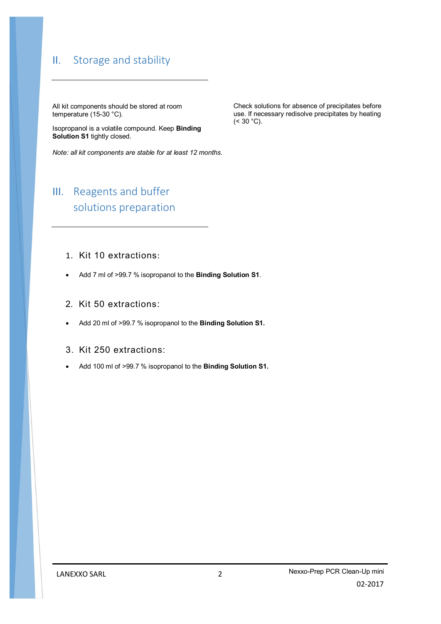### II. Storage and stability

All kit components should be stored at room temperature (15-30 °C).

Isopropanol is a volatile compound. Keep **Binding Solution S1** tightly closed.

*Note: all kit components are stable for at least 12 months.*

## III. Reagents and buffer solutions preparation

- 1. Kit 10 extractions:
- Add 7 ml of >99.7 % isopropanol to the **Binding Solution S1**.
- 2. Kit 50 extractions:
- Add 20 ml of >99.7 % isopropanol to the **Binding Solution S1.**
- 3. Kit 250 extractions:
- Add 100 ml of >99.7 % isopropanol to the **Binding Solution S1.**

Check solutions for absence of precipitates before use. If necessary redisolve precipitates by heating  $(< 30 °C)$ .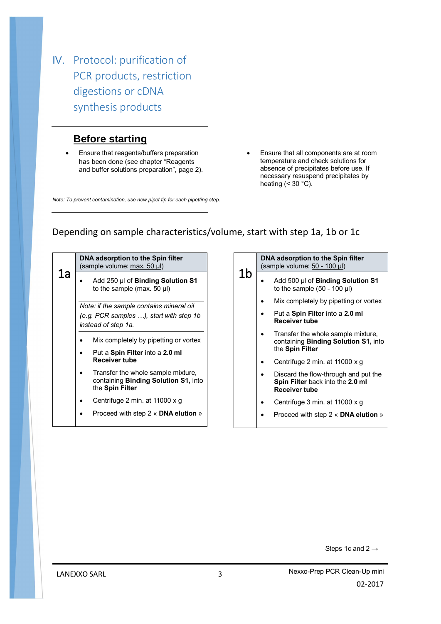IV. Protocol: purification of PCR products, restriction digestions or cDNA synthesis products

### **Before starting**

 Ensure that reagents/buffers preparation has been done (see chapter "Reagents and buffer solutions preparation", page 2).

temperature and check solutions for absence of precipitates before use. If necessary resuspend precipitates by heating  $( $30$  °C)$ .

Ensure that all components are at room

*Note: To prevent contamination, use new pipet tip for each pipetting step.*

#### Depending on sample characteristics/volume, start with step 1a, 1b or 1c

| 1a | DNA adsorption to the Spin filter<br>(sample volume: max. 50 µl)                                           |  |  |  |
|----|------------------------------------------------------------------------------------------------------------|--|--|--|
|    | Add 250 µl of <b>Binding Solution S1</b><br>to the sample (max. $50 \mu$ )                                 |  |  |  |
|    | Note: if the sample contains mineral oil<br>(e.g. PCR samples ), start with step 1b<br>instead of step 1a. |  |  |  |
|    | Mix completely by pipetting or vortex                                                                      |  |  |  |
|    | Put a Spin Filter into a 2.0 ml<br>Receiver tube                                                           |  |  |  |
|    | Transfer the whole sample mixture,<br>containing <b>Binding Solution S1</b> , into<br>the Spin Filter      |  |  |  |
|    | Centrifuge 2 min. at 11000 x q                                                                             |  |  |  |
|    | Proceed with step 2 « DNA elution »                                                                        |  |  |  |

1b **DNA adsorption to the Spin filter**  (sample volume: 50 - 100 µl) Add 500 µl of **Binding Solution S1**  to the sample  $(50 - 100 \mu l)$ • Mix completely by pipetting or vortex Put a **Spin Filter** into a **2.0 ml Receiver tube** • Transfer the whole sample mixture, containing **Binding Solution S1,** into the **Spin Filter** • Centrifuge 2 min. at 11000 x g Discard the flow-through and put the **Spin Filter** back into the **2.0 ml Receiver tube** • Centrifuge 3 min. at 11000 x g Proceed with step 2 « **DNA elution** »

Steps 1c and  $2 \rightarrow$